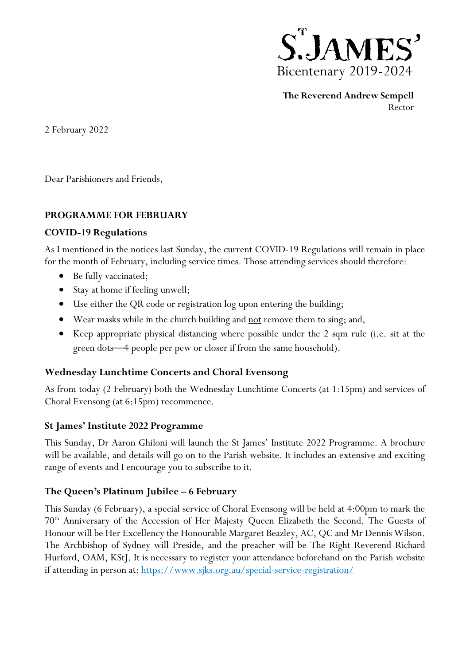

**The Reverend Andrew Sempell** Rector

2 February 2022

Dear Parishioners and Friends,

## **PROGRAMME FOR FEBRUARY**

#### **COVID-19 Regulations**

As I mentioned in the notices last Sunday, the current COVID-19 Regulations will remain in place for the month of February, including service times. Those attending services should therefore:

- Be fully vaccinated;
- Stay at home if feeling unwell;
- Use either the QR code or registration log upon entering the building;
- Wear masks while in the church building and <u>not</u> remove them to sing; and,
- Keep appropriate physical distancing where possible under the 2 sqm rule (i.e. sit at the green dots—4 people per pew or closer if from the same household).

## **Wednesday Lunchtime Concerts and Choral Evensong**

As from today (2 February) both the Wednesday Lunchtime Concerts (at 1:15pm) and services of Choral Evensong (at 6:15pm) recommence.

#### **St James' Institute 2022 Programme**

This Sunday, Dr Aaron Ghiloni will launch the St James' Institute 2022 Programme. A brochure will be available, and details will go on to the Parish website. It includes an extensive and exciting range of events and I encourage you to subscribe to it.

## **The Queen's Platinum Jubilee – 6 February**

This Sunday (6 February), a special service of Choral Evensong will be held at 4:00pm to mark the 70th Anniversary of the Accession of Her Majesty Queen Elizabeth the Second. The Guests of Honour will be Her Excellency the Honourable Margaret Beazley, AC, QC and Mr Dennis Wilson. The Archbishop of Sydney will Preside, and the preacher will be The Right Reverend Richard Hurford, OAM, KStJ. It is necessary to register your attendance beforehand on the Parish website if attending in person at:<https://www.sjks.org.au/special-service-registration/>